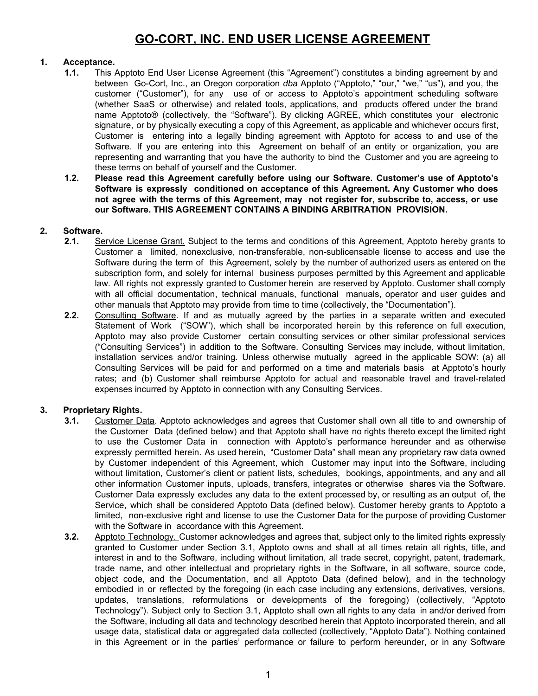# **GO-CORT, INC. END USER LICENSE AGREEMENT**

## **1. Acceptance.**

- **1.1.** This Apptoto End User License Agreement (this "Agreement") constitutes a binding agreement by and between Go-Cort, Inc., an Oregon corporation *dba* Apptoto ("Apptoto," "our," "we," "us"), and you, the customer ("Customer"), for any use of or access to Apptoto's appointment scheduling software (whether SaaS or otherwise) and related tools, applications, and products offered under the brand name Apptoto® (collectively, the "Software"). By clicking AGREE, which constitutes your electronic signature, or by physically executing a copy of this Agreement, as applicable and whichever occurs first, Customer is entering into a legally binding agreement with Apptoto for access to and use of the Software. If you are entering into this Agreement on behalf of an entity or organization, you are representing and warranting that you have the authority to bind the Customer and you are agreeing to these terms on behalf of yourself and the Customer.
- **1.2. Please read this Agreement carefully before using our Software. Customer's use of Apptoto's Software is expressly conditioned on acceptance of this Agreement. Any Customer who does not agree with the terms of this Agreement, may not register for, subscribe to, access, or use our Software. THIS AGREEMENT CONTAINS A BINDING ARBITRATION PROVISION.**

## **2. Software.**

- **2.1.** Service License Grant. Subject to the terms and conditions of this Agreement, Apptoto hereby grants to Customer a limited, nonexclusive, non-transferable, non-sublicensable license to access and use the Software during the term of this Agreement, solely by the number of authorized users as entered on the subscription form, and solely for internal business purposes permitted by this Agreement and applicable law. All rights not expressly granted to Customer herein are reserved by Apptoto. Customer shall comply with all official documentation, technical manuals, functional manuals, operator and user guides and other manuals that Apptoto may provide from time to time (collectively, the "Documentation").
- **2.2.** Consulting Software. If and as mutually agreed by the parties in a separate written and executed Statement of Work ("SOW"), which shall be incorporated herein by this reference on full execution, Apptoto may also provide Customer certain consulting services or other similar professional services ("Consulting Services") in addition to the Software. Consulting Services may include, without limitation, installation services and/or training. Unless otherwise mutually agreed in the applicable SOW: (a) all Consulting Services will be paid for and performed on a time and materials basis at Apptoto's hourly rates; and (b) Customer shall reimburse Apptoto for actual and reasonable travel and travel-related expenses incurred by Apptoto in connection with any Consulting Services.

## **3. Proprietary Rights.**

- **3.1.** Customer Data. Apptoto acknowledges and agrees that Customer shall own all title to and ownership of the Customer Data (defined below) and that Apptoto shall have no rights thereto except the limited right to use the Customer Data in connection with Apptoto's performance hereunder and as otherwise expressly permitted herein. As used herein, "Customer Data" shall mean any proprietary raw data owned by Customer independent of this Agreement, which Customer may input into the Software, including without limitation, Customer's client or patient lists, schedules, bookings, appointments, and any and all other information Customer inputs, uploads, transfers, integrates or otherwise shares via the Software. Customer Data expressly excludes any data to the extent processed by, or resulting as an output of, the Service, which shall be considered Apptoto Data (defined below). Customer hereby grants to Apptoto a limited, non-exclusive right and license to use the Customer Data for the purpose of providing Customer with the Software in accordance with this Agreement.
- **3.2.** Apptoto Technology. Customer acknowledges and agrees that, subject only to the limited rights expressly granted to Customer under Section 3.1, Apptoto owns and shall at all times retain all rights, title, and interest in and to the Software, including without limitation, all trade secret, copyright, patent, trademark, trade name, and other intellectual and proprietary rights in the Software, in all software, source code, object code, and the Documentation, and all Apptoto Data (defined below), and in the technology embodied in or reflected by the foregoing (in each case including any extensions, derivatives, versions, updates, translations, reformulations or developments of the foregoing) (collectively, "Apptoto Technology"). Subject only to Section 3.1, Apptoto shall own all rights to any data in and/or derived from the Software, including all data and technology described herein that Apptoto incorporated therein, and all usage data, statistical data or aggregated data collected (collectively, "Apptoto Data"). Nothing contained in this Agreement or in the parties' performance or failure to perform hereunder, or in any Software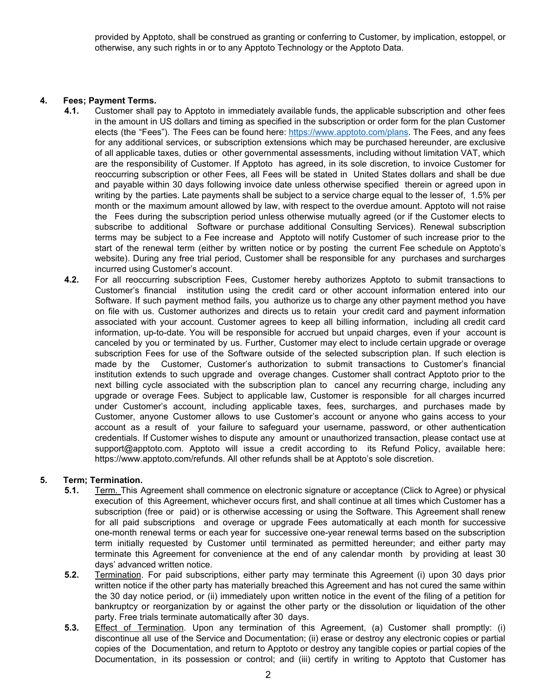provided by Apptoto, shall be construed as granting or conferring to Customer, by implication, estoppel, or otherwise, any such rights in or to any Apptoto Technology or the Apptoto Data.

## **4. Fees; Payment Terms.**

- **4.1.** Customer shall pay to Apptoto in immediately available funds, the applicable subscription and other fees in the amount in US dollars and timing as specified in the subscription or order form for the plan Customer elects (the "Fees"). The Fees can be found here: https://www.apptoto.com/plans. The Fees, and any fees for any additional services, or subscription extensions which may be purchased hereunder, are exclusive of all applicable taxes, duties or other governmental assessments, including without limitation VAT, which are the responsibility of Customer. If Apptoto has agreed, in its sole discretion, to invoice Customer for reoccurring subscription or other Fees, all Fees will be stated in United States dollars and shall be due and payable within 30 days following invoice date unless otherwise specified therein or agreed upon in writing by the parties. Late payments shall be subject to a service charge equal to the lesser of, 1.5% per month or the maximum amount allowed by law, with respect to the overdue amount. Apptoto will not raise the Fees during the subscription period unless otherwise mutually agreed (or if the Customer elects to subscribe to additional Software or purchase additional Consulting Services). Renewal subscription terms may be subject to a Fee increase and Apptoto will notify Customer of such increase prior to the start of the renewal term (either by written notice or by posting the current Fee schedule on Apptoto's website). During any free trial period, Customer shall be responsible for any purchases and surcharges incurred using Customer's account.
	- **4.2.** For all reoccurring subscription Fees, Customer hereby authorizes Apptoto to submit transactions to Customer's financial institution using the credit card or other account information entered into our Software. If such payment method fails, you authorize us to charge any other payment method you have on file with us. Customer authorizes and directs us to retain your credit card and payment information associated with your account. Customer agrees to keep all billing information, including all credit card information, up-to-date. You will be responsible for accrued but unpaid charges, even if your account is canceled by you or terminated by us. Further, Customer may elect to include certain upgrade or overage subscription Fees for use of the Software outside of the selected subscription plan. If such election is made by the Customer, Customer's authorization to submit transactions to Customer's financial institution extends to such upgrade and overage changes. Customer shall contract Apptoto prior to the next billing cycle associated with the subscription plan to cancel any recurring charge, including any upgrade or overage Fees. Subject to applicable law, Customer is responsible for all charges incurred under Customer's account, including applicable taxes, fees, surcharges, and purchases made by Customer, anyone Customer allows to use Customer's account or anyone who gains access to your account as a result of your failure to safeguard your username, password, or other authentication credentials. If Customer wishes to dispute any amount or unauthorized transaction, please contact use at support@apptoto.com. Apptoto will issue a credit according to its Refund Policy, available here: https://www.apptoto.com/refunds. All other refunds shall be at Apptoto's sole discretion.

#### **5. Term; Termination.**

- **5.1.** Term. This Agreement shall commence on electronic signature or acceptance (Click to Agree) or physical execution of this Agreement, whichever occurs first, and shall continue at all times which Customer has a subscription (free or paid) or is otherwise accessing or using the Software. This Agreement shall renew for all paid subscriptions and overage or upgrade Fees automatically at each month for successive one-month renewal terms or each year for successive one-year renewal terms based on the subscription term initially requested by Customer until terminated as permitted hereunder; and either party may terminate this Agreement for convenience at the end of any calendar month by providing at least 30 days' advanced written notice.
- **5.2.** Termination. For paid subscriptions, either party may terminate this Agreement (i) upon 30 days prior written notice if the other party has materially breached this Agreement and has not cured the same within the 30 day notice period, or (ii) immediately upon written notice in the event of the filing of a petition for bankruptcy or reorganization by or against the other party or the dissolution or liquidation of the other party. Free trials terminate automatically after 30 days.
- **5.3.** Effect of Termination. Upon any termination of this Agreement, (a) Customer shall promptly: (i) discontinue all use of the Service and Documentation; (ii) erase or destroy any electronic copies or partial copies of the Documentation, and return to Apptoto or destroy any tangible copies or partial copies of the Documentation, in its possession or control; and (iii) certify in writing to Apptoto that Customer has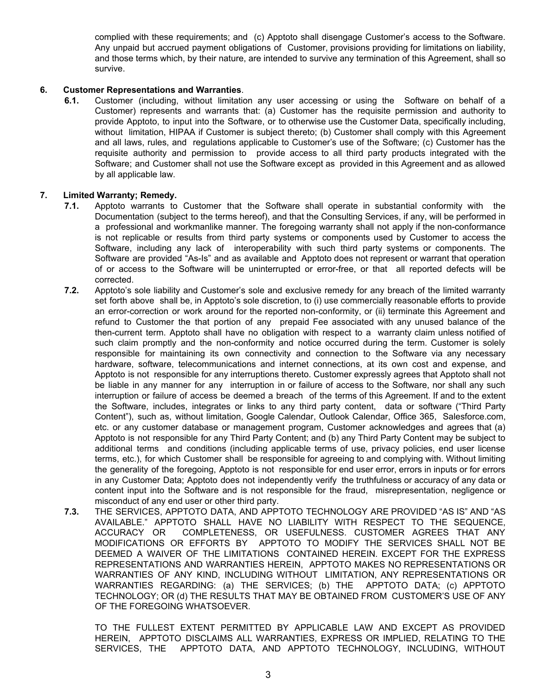complied with these requirements; and (c) Apptoto shall disengage Customer's access to the Software. Any unpaid but accrued payment obligations of Customer, provisions providing for limitations on liability, and those terms which, by their nature, are intended to survive any termination of this Agreement, shall so survive.

#### **6. Customer Representations and Warranties**.

**6.1.** Customer (including, without limitation any user accessing or using the Software on behalf of a Customer) represents and warrants that: (a) Customer has the requisite permission and authority to provide Apptoto, to input into the Software, or to otherwise use the Customer Data, specifically including, without limitation, HIPAA if Customer is subiect thereto; (b) Customer shall comply with this Agreement and all laws, rules, and regulations applicable to Customer's use of the Software; (c) Customer has the requisite authority and permission to provide access to all third party products integrated with the Software; and Customer shall not use the Software except as provided in this Agreement and as allowed by all applicable law.

#### **7. Limited Warranty; Remedy.**

- **7.1.** Apptoto warrants to Customer that the Software shall operate in substantial conformity with the Documentation (subject to the terms hereof), and that the Consulting Services, if any, will be performed in a professional and workmanlike manner. The foregoing warranty shall not apply if the non-conformance is not replicable or results from third party systems or components used by Customer to access the Software, including any lack of interoperability with such third party systems or components. The Software are provided "As-Is" and as available and Apptoto does not represent or warrant that operation of or access to the Software will be uninterrupted or error-free, or that all reported defects will be corrected.
- **7.2.** Apptoto's sole liability and Customer's sole and exclusive remedy for any breach of the limited warranty set forth above shall be, in Apptoto's sole discretion, to (i) use commercially reasonable efforts to provide an error-correction or work around for the reported non-conformity, or (ii) terminate this Agreement and refund to Customer the that portion of any prepaid Fee associated with any unused balance of the then-current term. Apptoto shall have no obligation with respect to a warranty claim unless notified of such claim promptly and the non-conformity and notice occurred during the term. Customer is solely responsible for maintaining its own connectivity and connection to the Software via any necessary hardware, software, telecommunications and internet connections, at its own cost and expense, and Apptoto is not responsible for any interruptions thereto. Customer expressly agrees that Apptoto shall not be liable in any manner for any interruption in or failure of access to the Software, nor shall any such interruption or failure of access be deemed a breach of the terms of this Agreement. If and to the extent the Software, includes, integrates or links to any third party content, data or software ("Third Party Content"), such as, without limitation, Google Calendar, Outlook Calendar, Office 365, Salesforce.com, etc. or any customer database or management program, Customer acknowledges and agrees that (a) Apptoto is not responsible for any Third Party Content; and (b) any Third Party Content may be subject to additional terms and conditions (including applicable terms of use, privacy policies, end user license terms, etc.), for which Customer shall be responsible for agreeing to and complying with. Without limiting the generality of the foregoing, Apptoto is not responsible for end user error, errors in inputs or for errors in any Customer Data; Apptoto does not independently verify the truthfulness or accuracy of any data or content input into the Software and is not responsible for the fraud, misrepresentation, negligence or misconduct of any end user or other third party.
- **7.3.** THE SERVICES, APPTOTO DATA, AND APPTOTO TECHNOLOGY ARE PROVIDED "AS IS" AND "AS AVAILABLE." APPTOTO SHALL HAVE NO LIABILITY WITH RESPECT TO THE SEQUENCE, ACCURACY OR COMPLETENESS, OR USEFULNESS. CUSTOMER AGREES THAT ANY MODIFICATIONS OR EFFORTS BY APPTOTO TO MODIFY THE SERVICES SHALL NOT BE DEEMED A WAIVER OF THE LIMITATIONS CONTAINED HEREIN. EXCEPT FOR THE EXPRESS REPRESENTATIONS AND WARRANTIES HEREIN, APPTOTO MAKES NO REPRESENTATIONS OR WARRANTIES OF ANY KIND, INCLUDING WITHOUT LIMITATION, ANY REPRESENTATIONS OR WARRANTIES REGARDING: (a) THE SERVICES; (b) THE APPTOTO DATA; (c) APPTOTO TECHNOLOGY; OR (d) THE RESULTS THAT MAY BE OBTAINED FROM CUSTOMER'S USE OF ANY OF THE FOREGOING WHATSOEVER.

TO THE FULLEST EXTENT PERMITTED BY APPLICABLE LAW AND EXCEPT AS PROVIDED HEREIN, APPTOTO DISCLAIMS ALL WARRANTIES, EXPRESS OR IMPLIED, RELATING TO THE SERVICES, THE APPTOTO DATA, AND APPTOTO TECHNOLOGY, INCLUDING, WITHOUT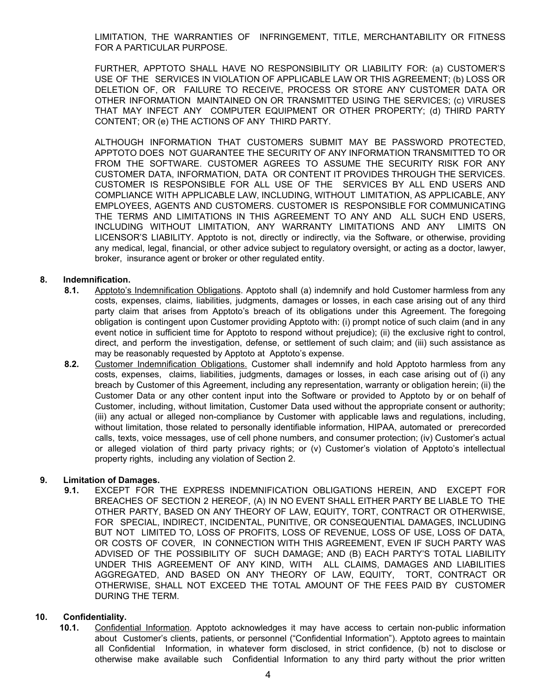LIMITATION, THE WARRANTIES OF INFRINGEMENT, TITLE, MERCHANTABILITY OR FITNESS FOR A PARTICULAR PURPOSE.

FURTHER, APPTOTO SHALL HAVE NO RESPONSIBILITY OR LIABILITY FOR: (a) CUSTOMER'S USE OF THE SERVICES IN VIOLATION OF APPLICABLE LAW OR THIS AGREEMENT; (b) LOSS OR DELETION OF, OR FAILURE TO RECEIVE, PROCESS OR STORE ANY CUSTOMER DATA OR OTHER INFORMATION MAINTAINED ON OR TRANSMITTED USING THE SERVICES; (c) VIRUSES THAT MAY INFECT ANY COMPUTER EQUIPMENT OR OTHER PROPERTY; (d) THIRD PARTY CONTENT; OR (e) THE ACTIONS OF ANY THIRD PARTY.

ALTHOUGH INFORMATION THAT CUSTOMERS SUBMIT MAY BE PASSWORD PROTECTED, APPTOTO DOES NOT GUARANTEE THE SECURITY OF ANY INFORMATION TRANSMITTED TO OR FROM THE SOFTWARE. CUSTOMER AGREES TO ASSUME THE SECURITY RISK FOR ANY CUSTOMER DATA, INFORMATION, DATA OR CONTENT IT PROVIDES THROUGH THE SERVICES. CUSTOMER IS RESPONSIBLE FOR ALL USE OF THE SERVICES BY ALL END USERS AND COMPLIANCE WITH APPLICABLE LAW, INCLUDING, WITHOUT LIMITATION, AS APPLICABLE, ANY EMPLOYEES, AGENTS AND CUSTOMERS. CUSTOMER IS RESPONSIBLE FOR COMMUNICATING THE TERMS AND LIMITATIONS IN THIS AGREEMENT TO ANY AND ALL SUCH END USERS, INCLUDING WITHOUT LIMITATION, ANY WARRANTY LIMITATIONS AND ANY LIMITS ON LICENSOR'S LIABILITY. Apptoto is not, directly or indirectly, via the Software, or otherwise, providing any medical, legal, financial, or other advice subject to regulatory oversight, or acting as a doctor, lawyer, broker, insurance agent or broker or other regulated entity.

## **8. Indemnification.**

- **8.1.** Apptoto's Indemnification Obligations. Apptoto shall (a) indemnify and hold Customer harmless from any costs, expenses, claims, liabilities, judgments, damages or losses, in each case arising out of any third party claim that arises from Apptoto's breach of its obligations under this Agreement. The foregoing obligation is contingent upon Customer providing Apptoto with: (i) prompt notice of such claim (and in any event notice in sufficient time for Apptoto to respond without prejudice); (ii) the exclusive right to control, direct, and perform the investigation, defense, or settlement of such claim; and (iii) such assistance as may be reasonably requested by Apptoto at Apptoto's expense.
- **8.2.** Customer Indemnification Obligations. Customer shall indemnify and hold Apptoto harmless from any costs, expenses, claims, liabilities, judgments, damages or losses, in each case arising out of (i) any breach by Customer of this Agreement, including any representation, warranty or obligation herein; (ii) the Customer Data or any other content input into the Software or provided to Apptoto by or on behalf of Customer, including, without limitation, Customer Data used without the appropriate consent or authority; (iii) any actual or alleged non-compliance by Customer with applicable laws and regulations, including, without limitation, those related to personally identifiable information, HIPAA, automated or prerecorded calls, texts, voice messages, use of cell phone numbers, and consumer protection; (iv) Customer's actual or alleged violation of third party privacy rights; or (v) Customer's violation of Apptoto's intellectual property rights, including any violation of Section 2.

## **9. Limitation of Damages.**

**9.1.** EXCEPT FOR THE EXPRESS INDEMNIFICATION OBLIGATIONS HEREIN, AND EXCEPT FOR BREACHES OF SECTION 2 HEREOF, (A) IN NO EVENT SHALL EITHER PARTY BE LIABLE TO THE OTHER PARTY, BASED ON ANY THEORY OF LAW, EQUITY, TORT, CONTRACT OR OTHERWISE, FOR SPECIAL, INDIRECT, INCIDENTAL, PUNITIVE, OR CONSEQUENTIAL DAMAGES, INCLUDING BUT NOT LIMITED TO, LOSS OF PROFITS, LOSS OF REVENUE, LOSS OF USE, LOSS OF DATA, OR COSTS OF COVER, IN CONNECTION WITH THIS AGREEMENT, EVEN IF SUCH PARTY WAS ADVISED OF THE POSSIBILITY OF SUCH DAMAGE; AND (B) EACH PARTY'S TOTAL LIABILITY UNDER THIS AGREEMENT OF ANY KIND, WITH ALL CLAIMS, DAMAGES AND LIABILITIES AGGREGATED, AND BASED ON ANY THEORY OF LAW, EQUITY, TORT, CONTRACT OR OTHERWISE, SHALL NOT EXCEED THE TOTAL AMOUNT OF THE FEES PAID BY CUSTOMER DURING THE TERM.

## **10. Confidentiality.**

**10.1.** Confidential Information. Apptoto acknowledges it may have access to certain non-public information about Customer's clients, patients, or personnel ("Confidential Information"). Apptoto agrees to maintain all Confidential Information, in whatever form disclosed, in strict confidence, (b) not to disclose or otherwise make available such Confidential Information to any third party without the prior written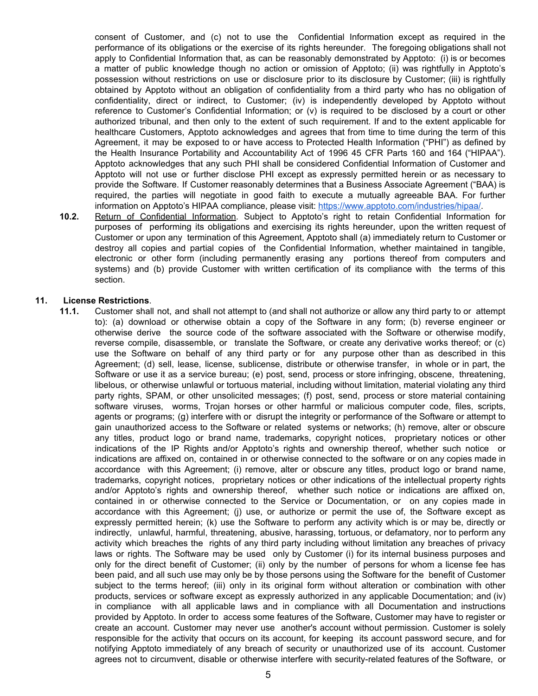consent of Customer, and (c) not to use the Confidential Information except as required in the performance of its obligations or the exercise of its rights hereunder. The foregoing obligations shall not apply to Confidential Information that, as can be reasonably demonstrated by Apptoto: (i) is or becomes a matter of public knowledge though no action or omission of Apptoto; (ii) was rightfully in Apptoto's possession without restrictions on use or disclosure prior to its disclosure by Customer; (iii) is rightfully obtained by Apptoto without an obligation of confidentiality from a third party who has no obligation of confidentiality, direct or indirect, to Customer; (iv) is independently developed by Apptoto without reference to Customer's Confidential Information; or (v) is required to be disclosed by a court or other authorized tribunal, and then only to the extent of such requirement. If and to the extent applicable for healthcare Customers, Apptoto acknowledges and agrees that from time to time during the term of this Agreement, it may be exposed to or have access to Protected Health Information ("PHI") as defined by the Health Insurance Portability and Accountability Act of 1996 45 CFR Parts 160 and 164 ("HIPAA"). Apptoto acknowledges that any such PHI shall be considered Confidential Information of Customer and Apptoto will not use or further disclose PHI except as expressly permitted herein or as necessary to provide the Software. If Customer reasonably determines that a Business Associate Agreement ("BAA) is required, the parties will negotiate in good faith to execute a mutually agreeable BAA. For further information on Apptoto's HIPAA compliance, please visit: [https://www.apptoto.com/industries/hipaa/.](https://www.apptoto.com/industries/hipaa/)

**10.2.** Return of Confidential Information. Subject to Apptoto's right to retain Confidential Information for purposes of performing its obligations and exercising its rights hereunder, upon the written request of Customer or upon any termination of this Agreement, Apptoto shall (a) immediately return to Customer or destroy all copies and partial copies of the Confidential Information, whether maintained in tangible, electronic or other form (including permanently erasing any portions thereof from computers and systems) and (b) provide Customer with written certification of its compliance with the terms of this section.

#### **11. License Restrictions**.

**11.1.** Customer shall not, and shall not attempt to (and shall not authorize or allow any third party to or attempt to): (a) download or otherwise obtain a copy of the Software in any form; (b) reverse engineer or otherwise derive the source code of the software associated with the Software or otherwise modify, reverse compile, disassemble, or translate the Software, or create any derivative works thereof; or (c) use the Software on behalf of any third party or for any purpose other than as described in this Agreement; (d) sell, lease, license, sublicense, distribute or otherwise transfer, in whole or in part, the Software or use it as a service bureau; (e) post, send, process or store infringing, obscene, threatening, libelous, or otherwise unlawful or tortuous material, including without limitation, material violating any third party rights, SPAM, or other unsolicited messages; (f) post, send, process or store material containing software viruses, worms, Trojan horses or other harmful or malicious computer code, files, scripts, agents or programs; (g) interfere with or disrupt the integrity or performance of the Software or attempt to gain unauthorized access to the Software or related systems or networks; (h) remove, alter or obscure any titles, product logo or brand name, trademarks, copyright notices, proprietary notices or other indications of the IP Rights and/or Apptoto's rights and ownership thereof, whether such notice or indications are affixed on, contained in or otherwise connected to the software or on any copies made in accordance with this Agreement; (i) remove, alter or obscure any titles, product logo or brand name, trademarks, copyright notices, proprietary notices or other indications of the intellectual property rights and/or Apptoto's rights and ownership thereof, whether such notice or indications are affixed on, contained in or otherwise connected to the Service or Documentation, or on any copies made in accordance with this Agreement; (j) use, or authorize or permit the use of, the Software except as expressly permitted herein; (k) use the Software to perform any activity which is or may be, directly or indirectly, unlawful, harmful, threatening, abusive, harassing, tortuous, or defamatory, nor to perform any activity which breaches the rights of any third party including without limitation any breaches of privacy laws or rights. The Software may be used only by Customer (i) for its internal business purposes and only for the direct benefit of Customer; (ii) only by the number of persons for whom a license fee has been paid, and all such use may only be by those persons using the Software for the benefit of Customer subject to the terms hereof; (iii) only in its original form without alteration or combination with other products, services or software except as expressly authorized in any applicable Documentation; and (iv) in compliance with all applicable laws and in compliance with all Documentation and instructions provided by Apptoto. In order to access some features of the Software, Customer may have to register or create an account. Customer may never use another's account without permission. Customer is solely responsible for the activity that occurs on its account, for keeping its account password secure, and for notifying Apptoto immediately of any breach of security or unauthorized use of its account. Customer agrees not to circumvent, disable or otherwise interfere with security-related features of the Software, or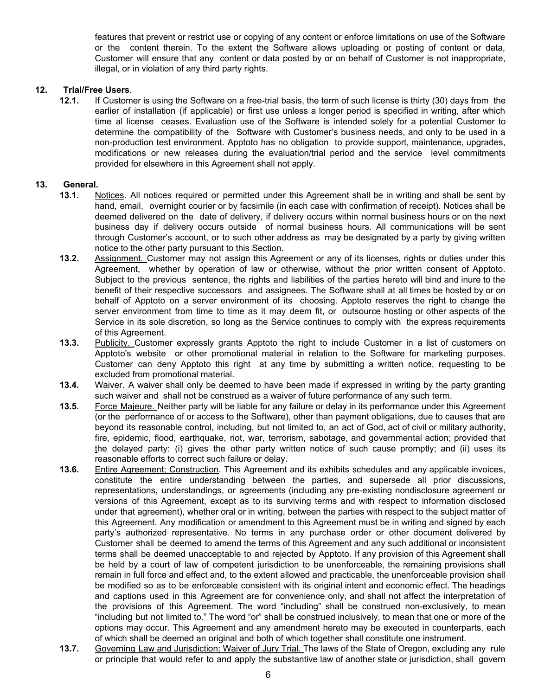features that prevent or restrict use or copying of any content or enforce limitations on use of the Software or the content therein. To the extent the Software allows uploading or posting of content or data, Customer will ensure that any content or data posted by or on behalf of Customer is not inappropriate, illegal, or in violation of any third party rights.

## **12. Trial/Free Users**.

**12.1.** If Customer is using the Software on a free-trial basis, the term of such license is thirty (30) days from the earlier of installation (if applicable) or first use unless a longer period is specified in writing, after which time al license ceases. Evaluation use of the Software is intended solely for a potential Customer to determine the compatibility of the Software with Customer's business needs, and only to be used in a non-production test environment. Apptoto has no obligation to provide support, maintenance, upgrades, modifications or new releases during the evaluation/trial period and the service level commitments provided for elsewhere in this Agreement shall not apply.

## **13. General.**

- **13.1.** Notices. All notices required or permitted under this Agreement shall be in writing and shall be sent by hand, email, overnight courier or by facsimile (in each case with confirmation of receipt). Notices shall be deemed delivered on the date of delivery, if delivery occurs within normal business hours or on the next business day if delivery occurs outside of normal business hours. All communications will be sent through Customer's account, or to such other address as may be designated by a party by giving written notice to the other party pursuant to this Section.
- **13.2.** Assignment. Customer may not assign this Agreement or any of its licenses, rights or duties under this Agreement, whether by operation of law or otherwise, without the prior written consent of Apptoto. Subject to the previous sentence, the rights and liabilities of the parties hereto will bind and inure to the benefit of their respective successors and assignees. The Software shall at all times be hosted by or on behalf of Apptoto on a server environment of its choosing. Apptoto reserves the right to change the server environment from time to time as it may deem fit, or outsource hosting or other aspects of the Service in its sole discretion, so long as the Service continues to comply with the express requirements of this Agreement.
- **13.3.** Publicity. Customer expressly grants Apptoto the right to include Customer in a list of customers on Apptoto's website or other promotional material in relation to the Software for marketing purposes. Customer can deny Apptoto this right at any time by submitting a written notice, requesting to be excluded from promotional material.
- **13.4.** Waiver. A waiver shall only be deemed to have been made if expressed in writing by the party granting such waiver and shall not be construed as a waiver of future performance of any such term.
- **13.5.** Force Majeure. Neither party will be liable for any failure or delay in its performance under this Agreement (or the performance of or access to the Software), other than payment obligations, due to causes that are beyond its reasonable control, including, but not limited to, an act of God, act of civil or military authority, fire, epidemic, flood, earthquake, riot, war, terrorism, sabotage, and governmental action; provided that the delayed party: (i) gives the other party written notice of such cause promptly; and (ii) uses its reasonable efforts to correct such failure or delay.
- **13.6.** Entire Agreement; Construction. This Agreement and its exhibits schedules and any applicable invoices, constitute the entire understanding between the parties, and supersede all prior discussions, representations, understandings, or agreements (including any pre-existing nondisclosure agreement or versions of this Agreement, except as to its surviving terms and with respect to information disclosed under that agreement), whether oral or in writing, between the parties with respect to the subject matter of this Agreement. Any modification or amendment to this Agreement must be in writing and signed by each party's authorized representative. No terms in any purchase order or other document delivered by Customer shall be deemed to amend the terms of this Agreement and any such additional or inconsistent terms shall be deemed unacceptable to and rejected by Apptoto. If any provision of this Agreement shall be held by a court of law of competent jurisdiction to be unenforceable, the remaining provisions shall remain in full force and effect and, to the extent allowed and practicable, the unenforceable provision shall be modified so as to be enforceable consistent with its original intent and economic effect. The headings and captions used in this Agreement are for convenience only, and shall not affect the interpretation of the provisions of this Agreement. The word "including" shall be construed non-exclusively, to mean "including but not limited to." The word "or" shall be construed inclusively, to mean that one or more of the options may occur. This Agreement and any amendment hereto may be executed in counterparts, each of which shall be deemed an original and both of which together shall constitute one instrument.
- **13.7.** Governing Law and Jurisdiction; Waiver of Jury Trial. The laws of the State of Oregon, excluding any rule or principle that would refer to and apply the substantive law of another state or jurisdiction, shall govern